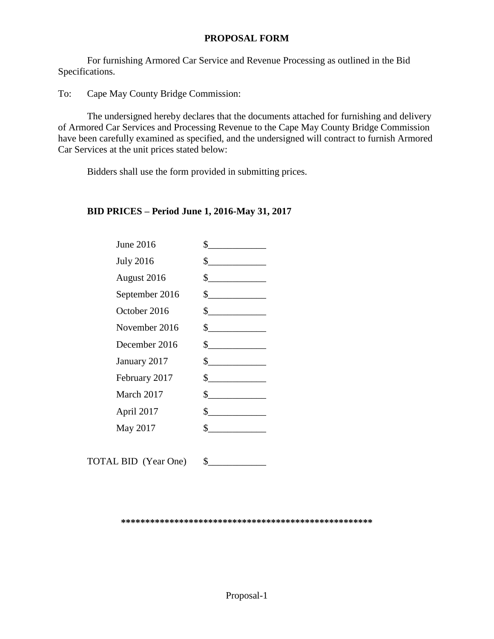### **PROPOSAL FORM**

For furnishing Armored Car Service and Revenue Processing as outlined in the Bid Specifications.

To: Cape May County Bridge Commission:

The undersigned hereby declares that the documents attached for furnishing and delivery of Armored Car Services and Processing Revenue to the Cape May County Bridge Commission have been carefully examined as specified, and the undersigned will contract to furnish Armored Car Services at the unit prices stated below:

Bidders shall use the form provided in submitting prices.

## **BID PRICES – Period June 1, 2016-May 31, 2017**

| June 2016        | \$                          |
|------------------|-----------------------------|
| <b>July 2016</b> | $\sim$                      |
| August 2016      | $\frac{\text{S}}{\text{S}}$ |
| September 2016   | $\frac{\text{S}}{\text{S}}$ |
| October 2016     | $\frac{1}{2}$               |
| November 2016    | $\frac{1}{2}$               |
| December 2016    | $\frac{\text{S}}{\text{S}}$ |
| January 2017     | $\frac{1}{2}$               |
| February 2017    | $\frac{1}{2}$               |
| March 2017       | $\frac{\text{S}}{\text{S}}$ |
| April 2017       | $\frac{\text{S}}{\text{S}}$ |
| May 2017         | $\sim$                      |
|                  |                             |
|                  |                             |

TOTAL BID (Year One)  $\quad \quad \$ 

**\*\*\*\*\*\*\*\*\*\*\*\*\*\*\*\*\*\*\*\*\*\*\*\*\*\*\*\*\*\*\*\*\*\*\*\*\*\*\*\*\*\*\*\*\*\*\*\*\*\*\*\***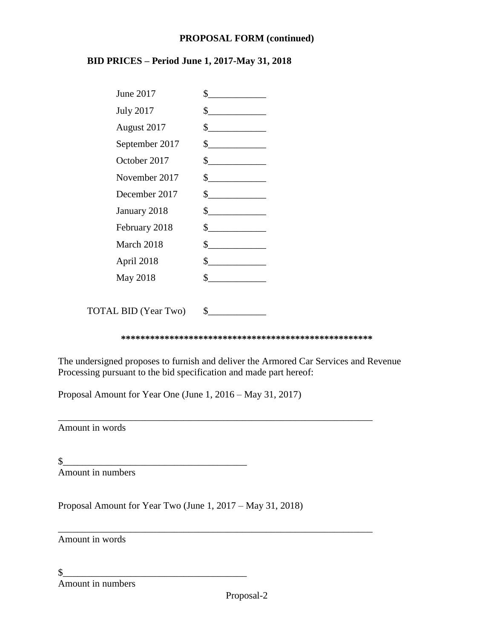#### **PROPOSAL FORM (continued)**

## **BID PRICES – Period June 1, 2017-May 31, 2018**

| <b>June 2017</b> | \$                          |
|------------------|-----------------------------|
| <b>July 2017</b> | $\frac{1}{2}$               |
| August 2017      | s                           |
| September 2017   | $\frac{\text{S}}{\text{S}}$ |
| October 2017     | $\frac{1}{2}$               |
| November 2017    | $\frac{1}{2}$               |
| December 2017    | $\frac{\text{S}}{\text{S}}$ |
| January 2018     | $\frac{\text{S}}{\text{S}}$ |
| February 2018    | $\frac{\text{S}}{\text{S}}$ |
| March 2018       | s                           |
| April 2018       | $\frac{\text{S}}{\text{S}}$ |
| May 2018         | S                           |
|                  |                             |

TOTAL BID (Year Two)  $\quad \$ 

**\*\*\*\*\*\*\*\*\*\*\*\*\*\*\*\*\*\*\*\*\*\*\*\*\*\*\*\*\*\*\*\*\*\*\*\*\*\*\*\*\*\*\*\*\*\*\*\*\*\*\*\***

The undersigned proposes to furnish and deliver the Armored Car Services and Revenue Processing pursuant to the bid specification and made part hereof:

\_\_\_\_\_\_\_\_\_\_\_\_\_\_\_\_\_\_\_\_\_\_\_\_\_\_\_\_\_\_\_\_\_\_\_\_\_\_\_\_\_\_\_\_\_\_\_\_\_\_\_\_\_\_\_\_\_\_\_\_\_\_\_\_\_

\_\_\_\_\_\_\_\_\_\_\_\_\_\_\_\_\_\_\_\_\_\_\_\_\_\_\_\_\_\_\_\_\_\_\_\_\_\_\_\_\_\_\_\_\_\_\_\_\_\_\_\_\_\_\_\_\_\_\_\_\_\_\_\_\_

Proposal Amount for Year One (June 1, 2016 – May 31, 2017)

Amount in words

 $\frac{1}{2}$ Amount in numbers

Proposal Amount for Year Two (June 1, 2017 – May 31, 2018)

Amount in words

 $\frac{1}{2}$ Amount in numbers